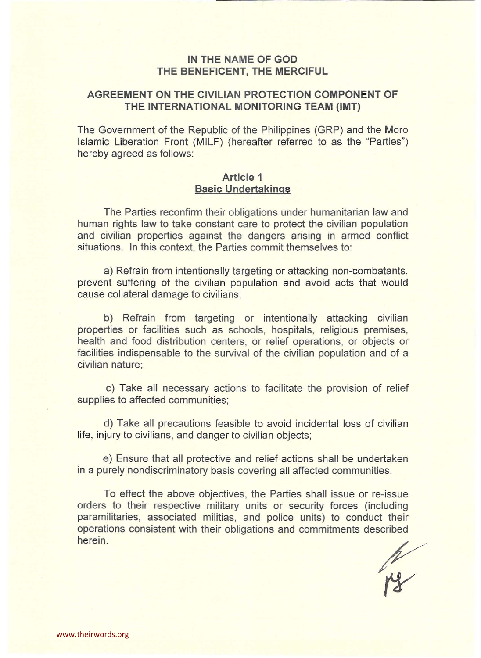## **IN THE NAME OF GOD THE BENEFICENT, THE MERCIFUL**

# **AGREEMENT ON THE CIVILIAN PROTECTION COMPONENT OF THE INTERNATIONAL MONITORING TEAM (IMT)**

The Government of the Republic of the Philippines (GRP) and the Moro Islamic Liberation Front (MILF) (hereafter referred to as the "Parties") hereby agreed as follows:

#### **Article 1 Basic Undertakings**

The Parties reconfirm their obligations under humanitarian law and human rights law to take constant care to protect the civilian population and civilian properties against the dangers arising in armed conflict situations. In this context, the Parties commit themselves to:

a) Refrain from intentionally targeting or attacking non-combatants, prevent suffering of the civilian population and avoid acts that would cause collateral damage to civilians;

b) Refrain from targeting or intentionally attacking civilian properties or facilities such as schools, hospitals, religious premises, health and food distribution centers, or relief operations, or objects or facilities indispensable to the survival of the civilian population and of a civilian nature;

c) Take all necessary actions to facilitate the provision of relief supplies to affected communities;

d) Take all precautions feasible to avoid incidental loss of civilian life, injury to civilians, and danger to civilian objects;

e) Ensure that all protective and relief actions shall be undertaken in a purely nondiscriminatory basis covering all affected communities.

To effect the above objectives, the Parties shall issue or re-issue orders to their respective military units or security forces (including paramilitaries, associated militias, and police units) to conduct their operations consistent with their obligations and commitments described herein.

R